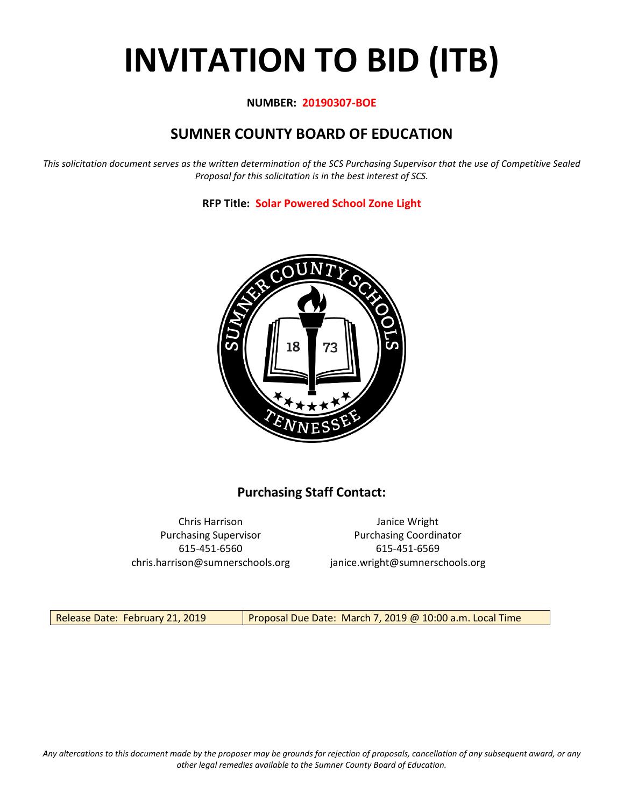# **INVITATION TO BID (ITB)**

# **NUMBER: 20190307-BOE**

# **SUMNER COUNTY BOARD OF EDUCATION**

*This solicitation document serves as the written determination of the SCS Purchasing Supervisor that the use of Competitive Sealed Proposal for this solicitation is in the best interest of SCS.*

**RFP Title: Solar Powered School Zone Light**



# **Purchasing Staff Contact:**

615-451-6560 615-451-6569 chris.harrison@sumnerschools.org janice.wright@sumnerschools.org

Chris Harrison Janice Wright Purchasing Supervisor **Purchasing Coordinator** 

Release Date: February 21, 2019 | Proposal Due Date: March 7, 2019 @ 10:00 a.m. Local Time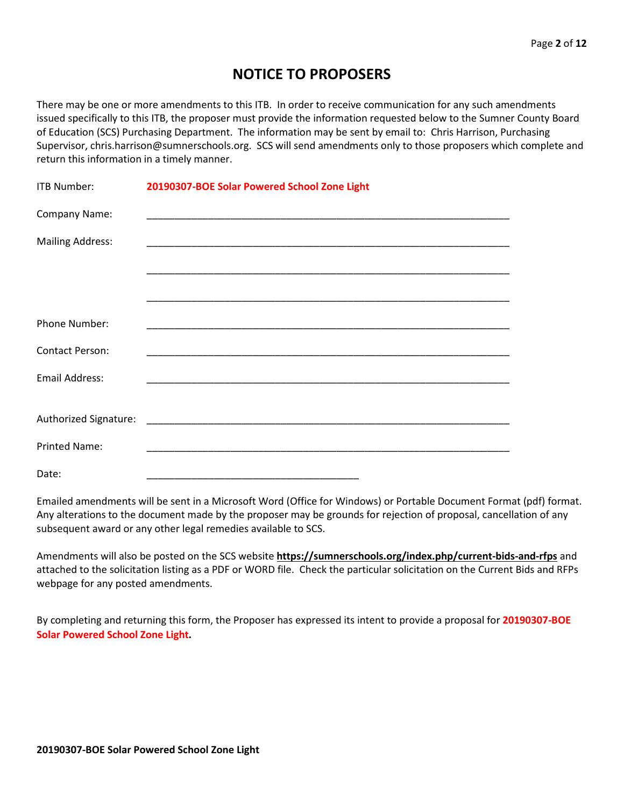# **NOTICE TO PROPOSERS**

There may be one or more amendments to this ITB. In order to receive communication for any such amendments issued specifically to this ITB, the proposer must provide the information requested below to the Sumner County Board of Education (SCS) Purchasing Department. The information may be sent by email to: Chris Harrison, Purchasing Supervisor, chris.harrison@sumnerschools.org. SCS will send amendments only to those proposers which complete and return this information in a timely manner.

| <b>ITB Number:</b>      | 20190307-BOE Solar Powered School Zone Light |  |  |
|-------------------------|----------------------------------------------|--|--|
| Company Name:           |                                              |  |  |
| <b>Mailing Address:</b> |                                              |  |  |
|                         |                                              |  |  |
|                         |                                              |  |  |
| <b>Phone Number:</b>    |                                              |  |  |
| <b>Contact Person:</b>  |                                              |  |  |
| Email Address:          |                                              |  |  |
|                         |                                              |  |  |
|                         |                                              |  |  |
| <b>Printed Name:</b>    |                                              |  |  |
| Date:                   |                                              |  |  |

Emailed amendments will be sent in a Microsoft Word (Office for Windows) or Portable Document Format (pdf) format. Any alterations to the document made by the proposer may be grounds for rejection of proposal, cancellation of any subsequent award or any other legal remedies available to SCS.

Amendments will also be posted on the SCS website **https://sumnerschools.org/index.php/current-bids-and-rfps** and attached to the solicitation listing as a PDF or WORD file. Check the particular solicitation on the Current Bids and RFPs webpage for any posted amendments.

By completing and returning this form, the Proposer has expressed its intent to provide a proposal for **20190307-BOE Solar Powered School Zone Light.**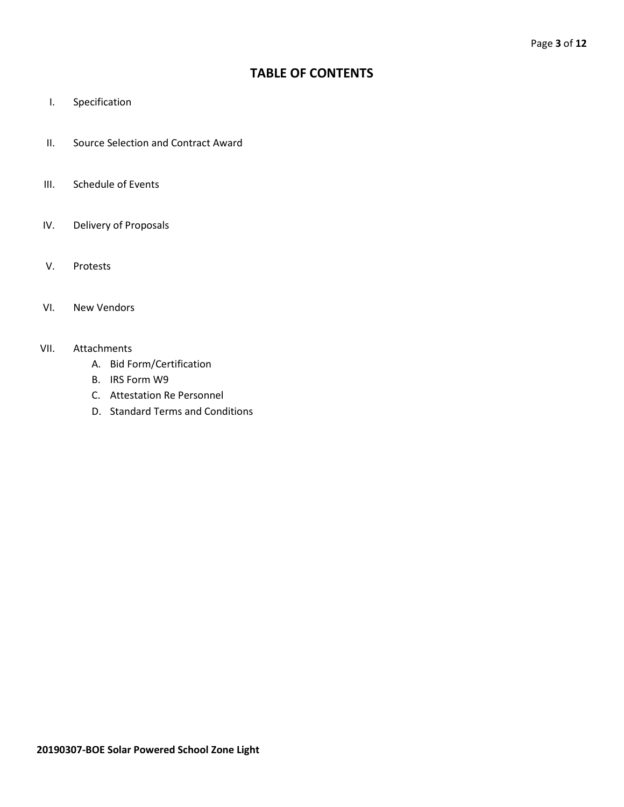# **TABLE OF CONTENTS**

- I. Specification
- II. Source Selection and Contract Award
- III. Schedule of Events
- IV. Delivery of Proposals
- V. Protests
- VI. New Vendors

# VII. Attachments

- A. Bid Form/Certification
- B. IRS Form W9
- C. Attestation Re Personnel
- D. Standard Terms and Conditions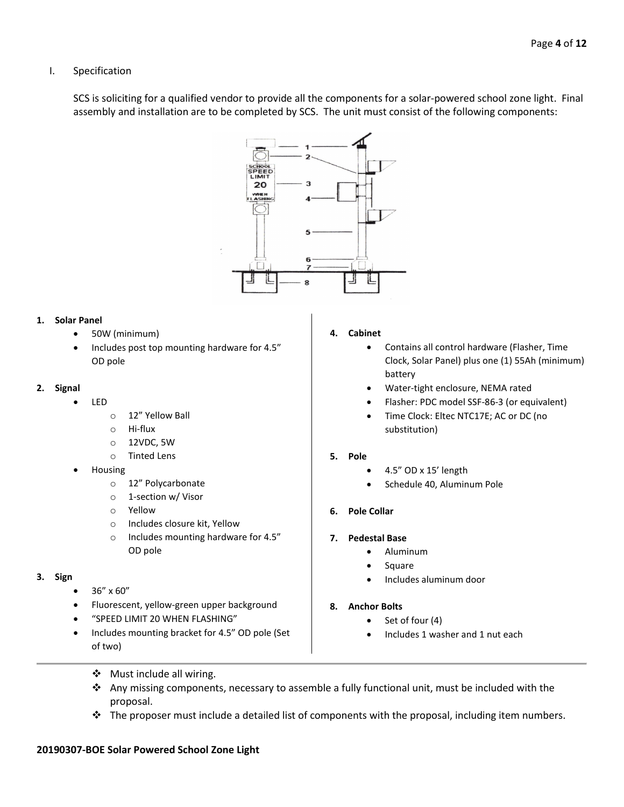## I. Specification

SCS is soliciting for a qualified vendor to provide all the components for a solar-powered school zone light. Final assembly and installation are to be completed by SCS. The unit must consist of the following components:



#### **1. Solar Panel**

- 50W (minimum)
- Includes post top mounting hardware for 4.5" OD pole

#### **2. Signal**

- LED
	- o 12" Yellow Ball
	- o Hi-flux
	- o 12VDC, 5W
	- o Tinted Lens
- Housing
	- o 12" Polycarbonate
	- o 1-section w/ Visor
	- o Yellow
	- o Includes closure kit, Yellow
	- o Includes mounting hardware for 4.5" OD pole

#### **3. Sign**

- 36" x 60"
- Fluorescent, yellow-green upper background
- "SPEED LIMIT 20 WHEN FLASHING"
- Includes mounting bracket for 4.5" OD pole (Set of two)

#### **4. Cabinet**

- Contains all control hardware (Flasher, Time Clock, Solar Panel) plus one (1) 55Ah (minimum) battery
- Water-tight enclosure, NEMA rated
- Flasher: PDC model SSF-86-3 (or equivalent)
- Time Clock: Eltec NTC17E; AC or DC (no substitution)

#### **5. Pole**

- 4.5" OD x 15' length
- Schedule 40, Aluminum Pole
- **6. Pole Collar**
- **7. Pedestal Base**
	- Aluminum
	- **Square**
	- Includes aluminum door

#### **8. Anchor Bolts**

- Set of four (4)
	- Includes 1 washer and 1 nut each

- ❖ Must include all wiring.
- Any missing components, necessary to assemble a fully functional unit, must be included with the proposal.
- $\cdot \cdot$  The proposer must include a detailed list of components with the proposal, including item numbers.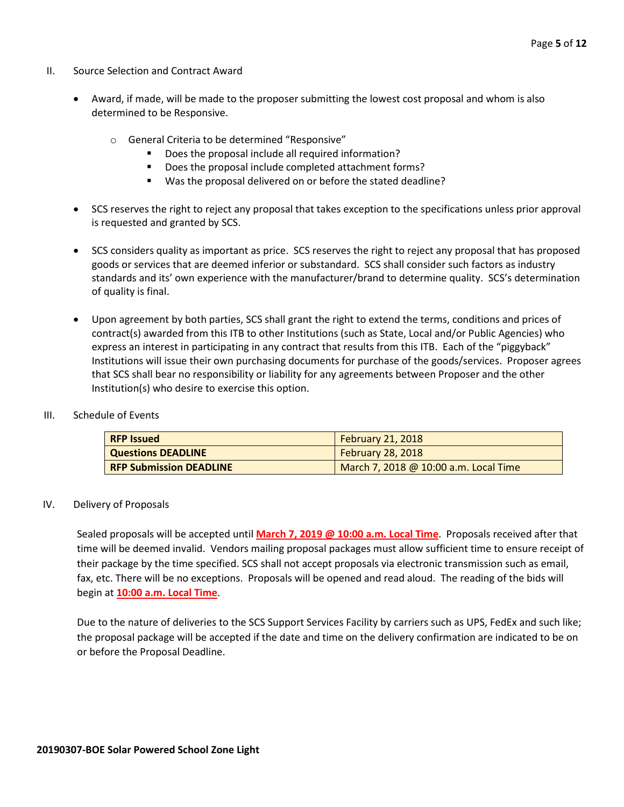- II. Source Selection and Contract Award
	- Award, if made, will be made to the proposer submitting the lowest cost proposal and whom is also determined to be Responsive.
		- o General Criteria to be determined "Responsive"
			- Does the proposal include all required information?
			- Does the proposal include completed attachment forms?
			- Was the proposal delivered on or before the stated deadline?
	- SCS reserves the right to reject any proposal that takes exception to the specifications unless prior approval is requested and granted by SCS.
	- SCS considers quality as important as price. SCS reserves the right to reject any proposal that has proposed goods or services that are deemed inferior or substandard. SCS shall consider such factors as industry standards and its' own experience with the manufacturer/brand to determine quality. SCS's determination of quality is final.
	- Upon agreement by both parties, SCS shall grant the right to extend the terms, conditions and prices of contract(s) awarded from this ITB to other Institutions (such as State, Local and/or Public Agencies) who express an interest in participating in any contract that results from this ITB. Each of the "piggyback" Institutions will issue their own purchasing documents for purchase of the goods/services. Proposer agrees that SCS shall bear no responsibility or liability for any agreements between Proposer and the other Institution(s) who desire to exercise this option.
- III. Schedule of Events

| <b>RFP Issued</b>              | <b>February 21, 2018</b>              |
|--------------------------------|---------------------------------------|
| <b>Questions DEADLINE</b>      | <b>February 28, 2018</b>              |
| <b>RFP Submission DEADLINE</b> | March 7, 2018 @ 10:00 a.m. Local Time |

## IV. Delivery of Proposals

Sealed proposals will be accepted until **March 7, 2019 @ 10:00 a.m. Local Time**. Proposals received after that time will be deemed invalid. Vendors mailing proposal packages must allow sufficient time to ensure receipt of their package by the time specified. SCS shall not accept proposals via electronic transmission such as email, fax, etc. There will be no exceptions. Proposals will be opened and read aloud. The reading of the bids will begin at **10:00 a.m. Local Time**.

Due to the nature of deliveries to the SCS Support Services Facility by carriers such as UPS, FedEx and such like; the proposal package will be accepted if the date and time on the delivery confirmation are indicated to be on or before the Proposal Deadline.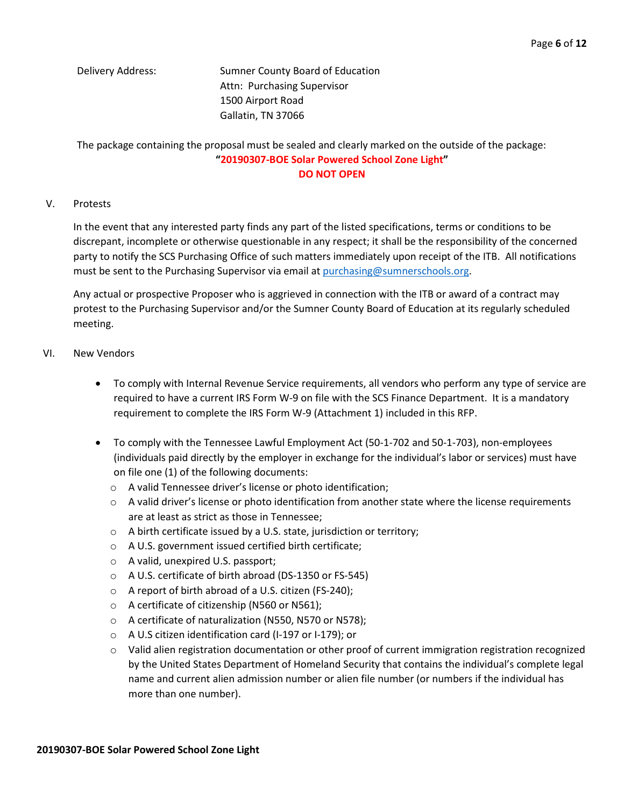Delivery Address: Sumner County Board of Education Attn: Purchasing Supervisor 1500 Airport Road Gallatin, TN 37066

The package containing the proposal must be sealed and clearly marked on the outside of the package: **"20190307-BOE Solar Powered School Zone Light" DO NOT OPEN**

## V. Protests

In the event that any interested party finds any part of the listed specifications, terms or conditions to be discrepant, incomplete or otherwise questionable in any respect; it shall be the responsibility of the concerned party to notify the SCS Purchasing Office of such matters immediately upon receipt of the ITB. All notifications must be sent to the Purchasing Supervisor via email at [purchasing@sumnerschools.org.](mailto:purchasing@sumnerschools.org)

Any actual or prospective Proposer who is aggrieved in connection with the ITB or award of a contract may protest to the Purchasing Supervisor and/or the Sumner County Board of Education at its regularly scheduled meeting.

## VI. New Vendors

- To comply with Internal Revenue Service requirements, all vendors who perform any type of service are required to have a current IRS Form W-9 on file with the SCS Finance Department. It is a mandatory requirement to complete the IRS Form W-9 (Attachment 1) included in this RFP.
- To comply with the Tennessee Lawful Employment Act (50-1-702 and 50-1-703), non-employees (individuals paid directly by the employer in exchange for the individual's labor or services) must have on file one (1) of the following documents:
	- o A valid Tennessee driver's license or photo identification;
	- $\circ$  A valid driver's license or photo identification from another state where the license requirements are at least as strict as those in Tennessee;
	- o A birth certificate issued by a U.S. state, jurisdiction or territory;
	- o A U.S. government issued certified birth certificate;
	- o A valid, unexpired U.S. passport;
	- o A U.S. certificate of birth abroad (DS-1350 or FS-545)
	- o A report of birth abroad of a U.S. citizen (FS-240);
	- o A certificate of citizenship (N560 or N561);
	- o A certificate of naturalization (N550, N570 or N578);
	- o A U.S citizen identification card (I-197 or I-179); or
	- o Valid alien registration documentation or other proof of current immigration registration recognized by the United States Department of Homeland Security that contains the individual's complete legal name and current alien admission number or alien file number (or numbers if the individual has more than one number).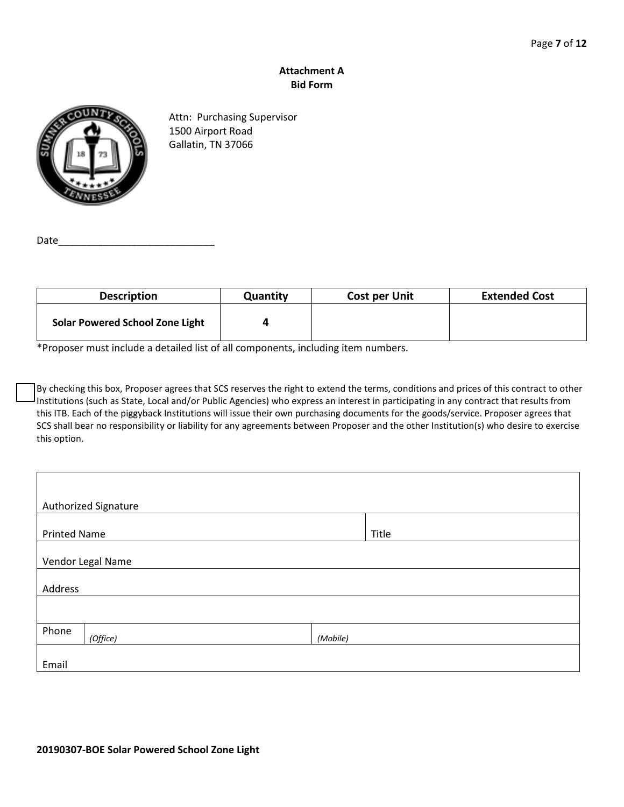# **Attachment A Bid Form**



Attn: Purchasing Supervisor 1500 Airport Road Gallatin, TN 37066

 $Date_$ 

| <b>Description</b>                     | Quantity | Cost per Unit | <b>Extended Cost</b> |
|----------------------------------------|----------|---------------|----------------------|
| <b>Solar Powered School Zone Light</b> |          |               |                      |

\*Proposer must include a detailed list of all components, including item numbers.

By checking this box, Proposer agrees that SCS reserves the right to extend the terms, conditions and prices of this contract to other Institutions (such as State, Local and/or Public Agencies) who express an interest in participating in any contract that results from this ITB. Each of the piggyback Institutions will issue their own purchasing documents for the goods/service. Proposer agrees that SCS shall bear no responsibility or liability for any agreements between Proposer and the other Institution(s) who desire to exercise this option.

| Authorized Signature |          |  |  |  |  |
|----------------------|----------|--|--|--|--|
| <b>Printed Name</b>  | Title    |  |  |  |  |
| Vendor Legal Name    |          |  |  |  |  |
| Address              |          |  |  |  |  |
|                      |          |  |  |  |  |
| Phone<br>(Office)    | (Mobile) |  |  |  |  |
| Email                |          |  |  |  |  |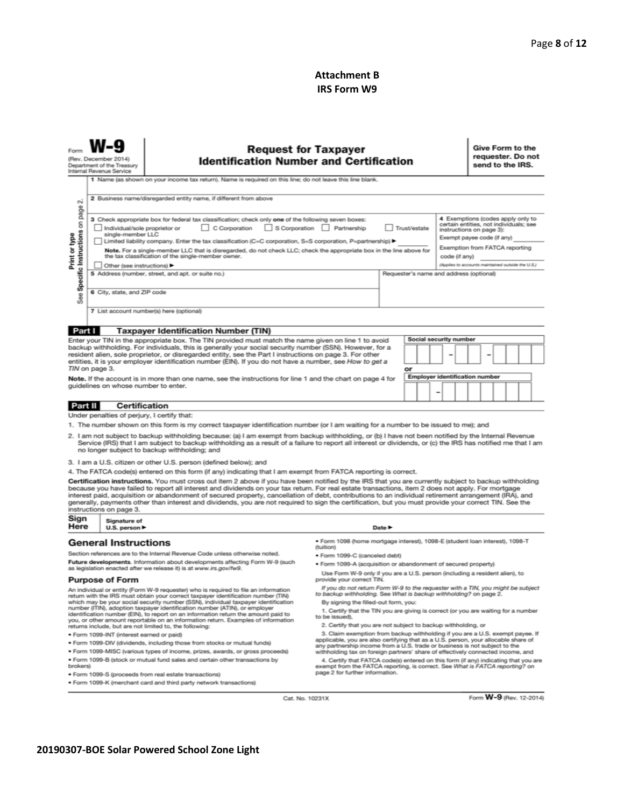# **Attachment B IRS Form W9**

|                                                                                                                                                                                                                                                                                                                                                                                                                                                                                                                                                                                                                                                                                                                                                                                                                                                                                                       | (Rev. December 2014)<br>Department of the Treasury<br>Internal Revenue Service                                                       |                                                                                                                                                                                                                                                                                                                                                                                                                                                                                                                                                                                                                                                                                                                                                                                                      | <b>Request for Taxpayer</b><br><b>Identification Number and Certification</b>                                   |                                         |  |  |  |                                                                                                                                                                                                                              | Give Form to the<br>requester. Do not<br>send to the IRS. |  |  |  |
|-------------------------------------------------------------------------------------------------------------------------------------------------------------------------------------------------------------------------------------------------------------------------------------------------------------------------------------------------------------------------------------------------------------------------------------------------------------------------------------------------------------------------------------------------------------------------------------------------------------------------------------------------------------------------------------------------------------------------------------------------------------------------------------------------------------------------------------------------------------------------------------------------------|--------------------------------------------------------------------------------------------------------------------------------------|------------------------------------------------------------------------------------------------------------------------------------------------------------------------------------------------------------------------------------------------------------------------------------------------------------------------------------------------------------------------------------------------------------------------------------------------------------------------------------------------------------------------------------------------------------------------------------------------------------------------------------------------------------------------------------------------------------------------------------------------------------------------------------------------------|-----------------------------------------------------------------------------------------------------------------|-----------------------------------------|--|--|--|------------------------------------------------------------------------------------------------------------------------------------------------------------------------------------------------------------------------------|-----------------------------------------------------------|--|--|--|
| N<br>page                                                                                                                                                                                                                                                                                                                                                                                                                                                                                                                                                                                                                                                                                                                                                                                                                                                                                             |                                                                                                                                      | 1 Name (as shown on your income tax return). Name is required on this line; do not leave this line blank.<br>2 Business name/disregarded entity name, if different from above                                                                                                                                                                                                                                                                                                                                                                                                                                                                                                                                                                                                                        |                                                                                                                 |                                         |  |  |  |                                                                                                                                                                                                                              |                                                           |  |  |  |
| Specific Instructions on<br>Print or type                                                                                                                                                                                                                                                                                                                                                                                                                                                                                                                                                                                                                                                                                                                                                                                                                                                             | Individual/sole proprietor or<br>single-member LLC<br>the tax classification of the single-member owner.<br>Other (see instructions) | 3 Check appropriate box for federal tax classification; check only one of the following seven boxes:<br>S Corporation Partnership<br>Trust/estate<br>Limited liability company. Enter the tax classification (C=C corporation, S=S corporation, P=partnership) ▶<br>Note. For a single-member LLC that is disregarded, do not check LLC; check the appropriate box in the line above for<br>code (if any)                                                                                                                                                                                                                                                                                                                                                                                            |                                                                                                                 |                                         |  |  |  | 4 Exemptions (codes apply only to<br>certain entities, not individuals; see<br>instructions on page 3):<br>Exempt payee code (if any)<br>Exemption from FATCA reporting<br>(Applies to accounts maintained outside the U.S.) |                                                           |  |  |  |
| See                                                                                                                                                                                                                                                                                                                                                                                                                                                                                                                                                                                                                                                                                                                                                                                                                                                                                                   | 6 City, state, and ZIP code                                                                                                          | 5 Address (number, street, and apt. or suite no.)<br>7 List account number(s) here (optional)                                                                                                                                                                                                                                                                                                                                                                                                                                                                                                                                                                                                                                                                                                        |                                                                                                                 | Requester's name and address (optional) |  |  |  |                                                                                                                                                                                                                              |                                                           |  |  |  |
|                                                                                                                                                                                                                                                                                                                                                                                                                                                                                                                                                                                                                                                                                                                                                                                                                                                                                                       |                                                                                                                                      |                                                                                                                                                                                                                                                                                                                                                                                                                                                                                                                                                                                                                                                                                                                                                                                                      |                                                                                                                 |                                         |  |  |  |                                                                                                                                                                                                                              |                                                           |  |  |  |
| Part I<br><b>Taxpayer Identification Number (TIN)</b><br>Social security number<br>Enter your TIN in the appropriate box. The TIN provided must match the name given on line 1 to avoid<br>backup withholding. For individuals, this is generally your social security number (SSN). However, for a<br>resident alien, sole proprietor, or disregarded entity, see the Part I instructions on page 3. For other<br>entities, it is your employer identification number (EIN). If you do not have a number, see How to get a<br>TIN on page 3.<br>or<br><b>Employer identification number</b><br>Note. If the account is in more than one name, see the instructions for line 1 and the chart on page 4 for<br>guidelines on whose number to enter.                                                                                                                                                    |                                                                                                                                      |                                                                                                                                                                                                                                                                                                                                                                                                                                                                                                                                                                                                                                                                                                                                                                                                      |                                                                                                                 |                                         |  |  |  |                                                                                                                                                                                                                              |                                                           |  |  |  |
|                                                                                                                                                                                                                                                                                                                                                                                                                                                                                                                                                                                                                                                                                                                                                                                                                                                                                                       | Certification<br>Part II                                                                                                             |                                                                                                                                                                                                                                                                                                                                                                                                                                                                                                                                                                                                                                                                                                                                                                                                      |                                                                                                                 |                                         |  |  |  |                                                                                                                                                                                                                              |                                                           |  |  |  |
|                                                                                                                                                                                                                                                                                                                                                                                                                                                                                                                                                                                                                                                                                                                                                                                                                                                                                                       | Under penalties of perjury, I certify that:                                                                                          |                                                                                                                                                                                                                                                                                                                                                                                                                                                                                                                                                                                                                                                                                                                                                                                                      |                                                                                                                 |                                         |  |  |  |                                                                                                                                                                                                                              |                                                           |  |  |  |
|                                                                                                                                                                                                                                                                                                                                                                                                                                                                                                                                                                                                                                                                                                                                                                                                                                                                                                       |                                                                                                                                      | 1. The number shown on this form is my correct taxpayer identification number (or I am waiting for a number to be issued to me); and<br>2. I am not subject to backup withholding because: (a) I am exempt from backup withholding, or (b) I have not been notified by the Internal Revenue<br>Service (IRS) that I am subject to backup withholding as a result of a failure to report all interest or dividends, or (c) the IRS has notified me that I am<br>no longer subject to backup withholding; and                                                                                                                                                                                                                                                                                          |                                                                                                                 |                                         |  |  |  |                                                                                                                                                                                                                              |                                                           |  |  |  |
|                                                                                                                                                                                                                                                                                                                                                                                                                                                                                                                                                                                                                                                                                                                                                                                                                                                                                                       |                                                                                                                                      | 3. I am a U.S. citizen or other U.S. person (defined below); and                                                                                                                                                                                                                                                                                                                                                                                                                                                                                                                                                                                                                                                                                                                                     |                                                                                                                 |                                         |  |  |  |                                                                                                                                                                                                                              |                                                           |  |  |  |
| 4. The FATCA code(s) entered on this form (if any) indicating that I am exempt from FATCA reporting is correct.<br>Certification instructions. You must cross out item 2 above if you have been notified by the IRS that you are currently subject to backup withholding<br>because you have failed to report all interest and dividends on your tax return. For real estate transactions, item 2 does not apply. For mortgage<br>interest paid, acquisition or abandonment of secured property, cancellation of debt, contributions to an individual retirement arrangement (IRA), and<br>generally, payments other than interest and dividends, you are not required to sign the certification, but you must provide your correct TIN. See the<br>instructions on page 3.                                                                                                                           |                                                                                                                                      |                                                                                                                                                                                                                                                                                                                                                                                                                                                                                                                                                                                                                                                                                                                                                                                                      |                                                                                                                 |                                         |  |  |  |                                                                                                                                                                                                                              |                                                           |  |  |  |
| Sign<br>Here                                                                                                                                                                                                                                                                                                                                                                                                                                                                                                                                                                                                                                                                                                                                                                                                                                                                                          | Signature of<br>U.S. person $\blacktriangleright$                                                                                    |                                                                                                                                                                                                                                                                                                                                                                                                                                                                                                                                                                                                                                                                                                                                                                                                      |                                                                                                                 | Date P                                  |  |  |  |                                                                                                                                                                                                                              |                                                           |  |  |  |
| <b>General Instructions</b><br>Section references are to the Internal Revenue Code unless otherwise noted.<br>Future developments. Information about developments affecting Form W-9 (such                                                                                                                                                                                                                                                                                                                                                                                                                                                                                                                                                                                                                                                                                                            |                                                                                                                                      | ● Form 1098 (home mortgage interest), 1098-E (student Ioan interest), 1098-T<br>(tuition)<br>· Form 1099-C (canceled debt)<br>· Form 1099-A (acquisition or abandonment of secured property)                                                                                                                                                                                                                                                                                                                                                                                                                                                                                                                                                                                                         |                                                                                                                 |                                         |  |  |  |                                                                                                                                                                                                                              |                                                           |  |  |  |
|                                                                                                                                                                                                                                                                                                                                                                                                                                                                                                                                                                                                                                                                                                                                                                                                                                                                                                       |                                                                                                                                      | as legislation enacted after we release it) is at www.irs.gov/fw9.                                                                                                                                                                                                                                                                                                                                                                                                                                                                                                                                                                                                                                                                                                                                   | Use Form W-9 only if you are a U.S. person (including a resident alien), to<br>provide your correct TIN.        |                                         |  |  |  |                                                                                                                                                                                                                              |                                                           |  |  |  |
| <b>Purpose of Form</b><br>An individual or entity (Form W-9 requester) who is required to file an information<br>return with the IRS must obtain your correct taxpayer identification number (TIN)<br>which may be your social security number (SSN), individual taxpayer identification<br>number (ITIN), adoption taxpayer identification number (ATIN), or employer<br>identification number (EIN), to report on an information return the amount paid to<br>you, or other amount reportable on an information return. Examples of information<br>returns include, but are not limited to, the following:<br>· Form 1099-INT (interest earned or paid)<br>. Form 1099-DIV (dividends, including those from stocks or mutual funds)<br>. Form 1099-MISC (various types of income, prizes, awards, or gross proceeds)<br>. Form 1099-B (stock or mutual fund sales and certain other transactions by |                                                                                                                                      | If you do not return Form W-9 to the requester with a TIN, you might be subject<br>to backup withholding. See What is backup withholding? on page 2.<br>By signing the filled-out form, you:<br>1. Certify that the TIN you are giving is correct (or you are waiting for a number<br>to be issued).<br>2. Certify that you are not subject to backup withholding, or<br>3. Claim exemption from backup withholding if you are a U.S. exempt payee. If<br>applicable, you are also certifying that as a U.S. person, your allocable share of<br>any partnership income from a U.S. trade or business is not subject to the<br>withholding tax on foreign partners' share of effectively connected income, and<br>4. Certify that FATCA code(s) entered on this form (if any) indicating that you are |                                                                                                                 |                                         |  |  |  |                                                                                                                                                                                                                              |                                                           |  |  |  |
| brokers)                                                                                                                                                                                                                                                                                                                                                                                                                                                                                                                                                                                                                                                                                                                                                                                                                                                                                              |                                                                                                                                      | . Form 1099-S (proceeds from real estate transactions)<br>. Form 1099-K (merchant card and third party network transactions)                                                                                                                                                                                                                                                                                                                                                                                                                                                                                                                                                                                                                                                                         | exempt from the FATCA reporting, is correct. See What is FATCA reporting? on<br>page 2 for further information. |                                         |  |  |  |                                                                                                                                                                                                                              |                                                           |  |  |  |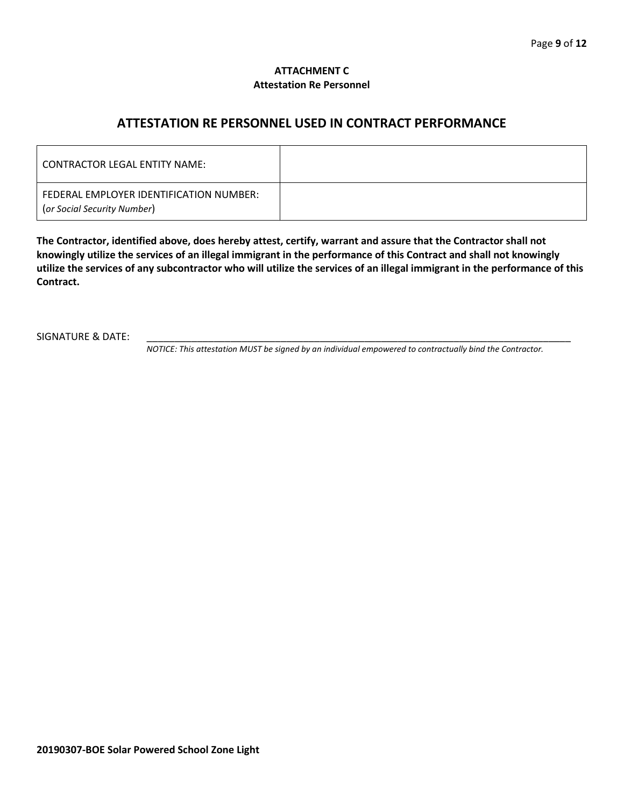# **ATTACHMENT C Attestation Re Personnel**

# **ATTESTATION RE PERSONNEL USED IN CONTRACT PERFORMANCE**

| l CONTRACTOR LEGAL ENTITY NAME:                                        |  |
|------------------------------------------------------------------------|--|
| FEDERAL EMPLOYER IDENTIFICATION NUMBER:<br>(or Social Security Number) |  |

**The Contractor, identified above, does hereby attest, certify, warrant and assure that the Contractor shall not knowingly utilize the services of an illegal immigrant in the performance of this Contract and shall not knowingly utilize the services of any subcontractor who will utilize the services of an illegal immigrant in the performance of this Contract.**

SIGNATURE & DATE:

*NOTICE: This attestation MUST be signed by an individual empowered to contractually bind the Contractor.*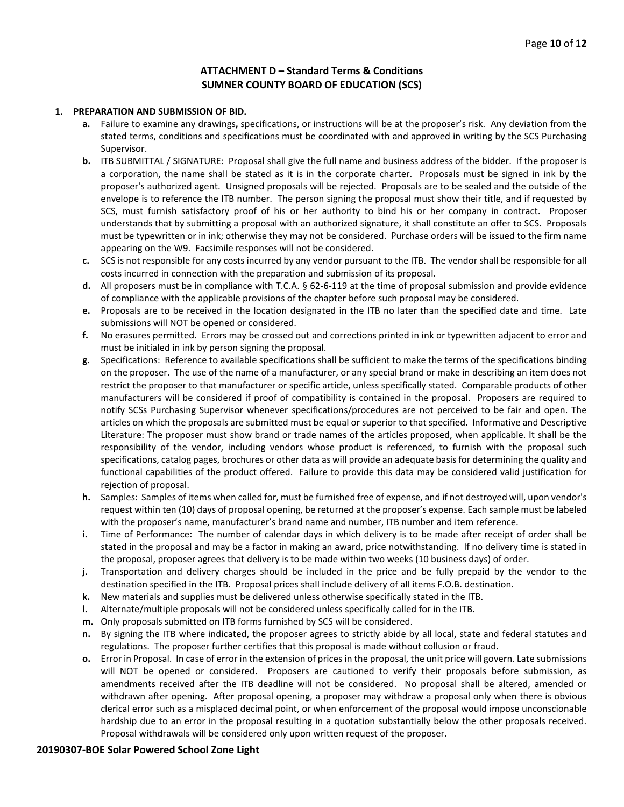## **ATTACHMENT D – Standard Terms & Conditions SUMNER COUNTY BOARD OF EDUCATION (SCS)**

#### **1. PREPARATION AND SUBMISSION OF BID.**

- **a.** Failure to examine any drawings**,** specifications, or instructions will be at the proposer's risk. Any deviation from the stated terms, conditions and specifications must be coordinated with and approved in writing by the SCS Purchasing Supervisor.
- **b.** ITB SUBMITTAL / SIGNATURE: Proposal shall give the full name and business address of the bidder. If the proposer is a corporation, the name shall be stated as it is in the corporate charter. Proposals must be signed in ink by the proposer's authorized agent. Unsigned proposals will be rejected. Proposals are to be sealed and the outside of the envelope is to reference the ITB number. The person signing the proposal must show their title, and if requested by SCS, must furnish satisfactory proof of his or her authority to bind his or her company in contract. Proposer understands that by submitting a proposal with an authorized signature, it shall constitute an offer to SCS. Proposals must be typewritten or in ink; otherwise they may not be considered. Purchase orders will be issued to the firm name appearing on the W9. Facsimile responses will not be considered.
- **c.** SCS is not responsible for any costs incurred by any vendor pursuant to the ITB. The vendor shall be responsible for all costs incurred in connection with the preparation and submission of its proposal.
- **d.** All proposers must be in compliance with T.C.A. § 62-6-119 at the time of proposal submission and provide evidence of compliance with the applicable provisions of the chapter before such proposal may be considered.
- **e.** Proposals are to be received in the location designated in the ITB no later than the specified date and time. Late submissions will NOT be opened or considered.
- **f.** No erasures permitted. Errors may be crossed out and corrections printed in ink or typewritten adjacent to error and must be initialed in ink by person signing the proposal.
- **g.** Specifications: Reference to available specifications shall be sufficient to make the terms of the specifications binding on the proposer. The use of the name of a manufacturer, or any special brand or make in describing an item does not restrict the proposer to that manufacturer or specific article, unless specifically stated. Comparable products of other manufacturers will be considered if proof of compatibility is contained in the proposal. Proposers are required to notify SCSs Purchasing Supervisor whenever specifications/procedures are not perceived to be fair and open. The articles on which the proposals are submitted must be equal or superior to that specified. Informative and Descriptive Literature: The proposer must show brand or trade names of the articles proposed, when applicable. It shall be the responsibility of the vendor, including vendors whose product is referenced, to furnish with the proposal such specifications, catalog pages, brochures or other data as will provide an adequate basis for determining the quality and functional capabilities of the product offered. Failure to provide this data may be considered valid justification for rejection of proposal.
- **h.** Samples: Samples of items when called for, must be furnished free of expense, and if not destroyed will, upon vendor's request within ten (10) days of proposal opening, be returned at the proposer's expense. Each sample must be labeled with the proposer's name, manufacturer's brand name and number, ITB number and item reference.
- **i.** Time of Performance: The number of calendar days in which delivery is to be made after receipt of order shall be stated in the proposal and may be a factor in making an award, price notwithstanding. If no delivery time is stated in the proposal, proposer agrees that delivery is to be made within two weeks (10 business days) of order.
- **j.** Transportation and delivery charges should be included in the price and be fully prepaid by the vendor to the destination specified in the ITB. Proposal prices shall include delivery of all items F.O.B. destination.
- **k.** New materials and supplies must be delivered unless otherwise specifically stated in the ITB.
- **l.** Alternate/multiple proposals will not be considered unless specifically called for in the ITB.
- **m.** Only proposals submitted on ITB forms furnished by SCS will be considered.
- **n.** By signing the ITB where indicated, the proposer agrees to strictly abide by all local, state and federal statutes and regulations. The proposer further certifies that this proposal is made without collusion or fraud.
- **o.** Error in Proposal. In case of error in the extension of prices in the proposal, the unit price will govern. Late submissions will NOT be opened or considered. Proposers are cautioned to verify their proposals before submission, as amendments received after the ITB deadline will not be considered. No proposal shall be altered, amended or withdrawn after opening. After proposal opening, a proposer may withdraw a proposal only when there is obvious clerical error such as a misplaced decimal point, or when enforcement of the proposal would impose unconscionable hardship due to an error in the proposal resulting in a quotation substantially below the other proposals received. Proposal withdrawals will be considered only upon written request of the proposer.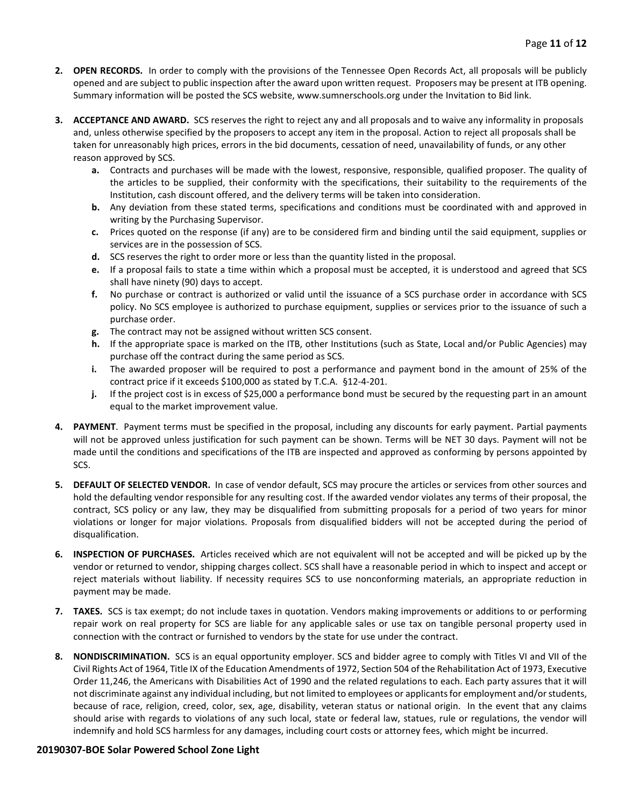- **2. OPEN RECORDS.** In order to comply with the provisions of the Tennessee Open Records Act, all proposals will be publicly opened and are subject to public inspection after the award upon written request. Proposers may be present at ITB opening. Summary information will be posted the SCS website, www.sumnerschools.org under the Invitation to Bid link.
- **3. ACCEPTANCE AND AWARD.** SCS reserves the right to reject any and all proposals and to waive any informality in proposals and, unless otherwise specified by the proposers to accept any item in the proposal. Action to reject all proposals shall be taken for unreasonably high prices, errors in the bid documents, cessation of need, unavailability of funds, or any other reason approved by SCS.
	- **a.** Contracts and purchases will be made with the lowest, responsive, responsible, qualified proposer. The quality of the articles to be supplied, their conformity with the specifications, their suitability to the requirements of the Institution, cash discount offered, and the delivery terms will be taken into consideration.
	- **b.** Any deviation from these stated terms, specifications and conditions must be coordinated with and approved in writing by the Purchasing Supervisor.
	- **c.** Prices quoted on the response (if any) are to be considered firm and binding until the said equipment, supplies or services are in the possession of SCS.
	- **d.** SCS reserves the right to order more or less than the quantity listed in the proposal.
	- **e.** If a proposal fails to state a time within which a proposal must be accepted, it is understood and agreed that SCS shall have ninety (90) days to accept.
	- **f.** No purchase or contract is authorized or valid until the issuance of a SCS purchase order in accordance with SCS policy. No SCS employee is authorized to purchase equipment, supplies or services prior to the issuance of such a purchase order.
	- **g.** The contract may not be assigned without written SCS consent.
	- **h.** If the appropriate space is marked on the ITB, other Institutions (such as State, Local and/or Public Agencies) may purchase off the contract during the same period as SCS.
	- **i.** The awarded proposer will be required to post a performance and payment bond in the amount of 25% of the contract price if it exceeds \$100,000 as stated by T.C.A. §12-4-201.
	- **j.** If the project cost is in excess of \$25,000 a performance bond must be secured by the requesting part in an amount equal to the market improvement value.
- **4. PAYMENT**. Payment terms must be specified in the proposal, including any discounts for early payment. Partial payments will not be approved unless justification for such payment can be shown. Terms will be NET 30 days. Payment will not be made until the conditions and specifications of the ITB are inspected and approved as conforming by persons appointed by SCS.
- **5. DEFAULT OF SELECTED VENDOR.** In case of vendor default, SCS may procure the articles or services from other sources and hold the defaulting vendor responsible for any resulting cost. If the awarded vendor violates any terms of their proposal, the contract, SCS policy or any law, they may be disqualified from submitting proposals for a period of two years for minor violations or longer for major violations. Proposals from disqualified bidders will not be accepted during the period of disqualification.
- **6. INSPECTION OF PURCHASES.** Articles received which are not equivalent will not be accepted and will be picked up by the vendor or returned to vendor, shipping charges collect. SCS shall have a reasonable period in which to inspect and accept or reject materials without liability. If necessity requires SCS to use nonconforming materials, an appropriate reduction in payment may be made.
- **7. TAXES.** SCS is tax exempt; do not include taxes in quotation. Vendors making improvements or additions to or performing repair work on real property for SCS are liable for any applicable sales or use tax on tangible personal property used in connection with the contract or furnished to vendors by the state for use under the contract.
- **8. NONDISCRIMINATION.** SCS is an equal opportunity employer. SCS and bidder agree to comply with Titles VI and VII of the Civil Rights Act of 1964, Title IX of the Education Amendments of 1972, Section 504 of the Rehabilitation Act of 1973, Executive Order 11,246, the Americans with Disabilities Act of 1990 and the related regulations to each. Each party assures that it will not discriminate against any individual including, but not limited to employees or applicants for employment and/or students, because of race, religion, creed, color, sex, age, disability, veteran status or national origin. In the event that any claims should arise with regards to violations of any such local, state or federal law, statues, rule or regulations, the vendor will indemnify and hold SCS harmless for any damages, including court costs or attorney fees, which might be incurred.